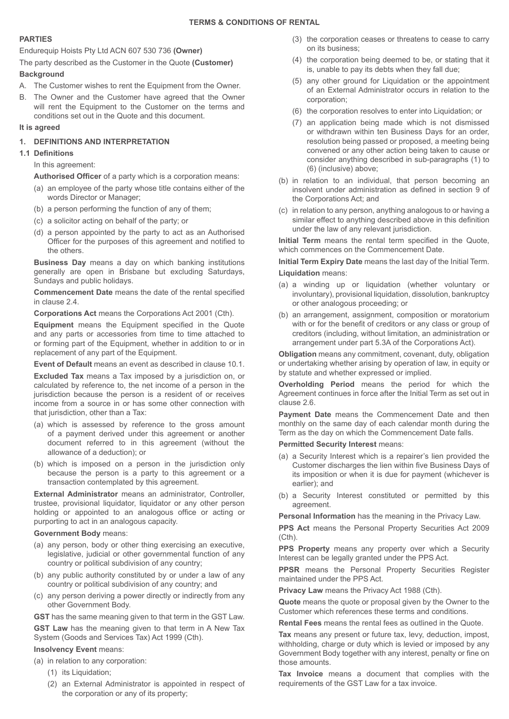# **PARTIES**

Endurequip Hoists Pty Ltd ACN 607 530 736 **(Owner)**

The party described as the Customer in the Quote **(Customer)**

# **Background**

- A. The Customer wishes to rent the Equipment from the Owner.
- B. The Owner and the Customer have agreed that the Owner will rent the Equipment to the Customer on the terms and conditions set out in the Quote and this document.

## **It is agreed**

# **1. DEFINITIONS AND INTERPRETATION**

## **1.1 Definitions**

In this agreement:

 **Authorised Officer** of a party which is a corporation means:

- (a) an employee of the party whose title contains either of the words Director or Manager;
- (b) a person performing the function of any of them;
- (c) a solicitor acting on behalf of the party; or
- (d) a person appointed by the party to act as an Authorised Officer for the purposes of this agreement and notified to the others.

**Business Day** means a day on which banking institutions generally are open in Brisbane but excluding Saturdays, Sundays and public holidays.

**Commencement Date** means the date of the rental specified in clause 2.4.

**Corporations Act** means the Corporations Act 2001 (Cth).

**Equipment** means the Equipment specified in the Quote and any parts or accessories from time to time attached to or forming part of the Equipment, whether in addition to or in replacement of any part of the Equipment.

**Event of Default** means an event as described in clause 10.1.

**Excluded Tax** means a Tax imposed by a jurisdiction on, or calculated by reference to, the net income of a person in the jurisdiction because the person is a resident of or receives income from a source in or has some other connection with that jurisdiction, other than a Tax:

- (a) which is assessed by reference to the gross amount of a payment derived under this agreement or another document referred to in this agreement (without the allowance of a deduction); or
- (b) which is imposed on a person in the jurisdiction only because the person is a party to this agreement or a transaction contemplated by this agreement.

**External Administrator** means an administrator, Controller, trustee, provisional liquidator, liquidator or any other person holding or appointed to an analogous office or acting or purporting to act in an analogous capacity.

## **Government Body** means:

- (a) any person, body or other thing exercising an executive, legislative, judicial or other governmental function of any country or political subdivision of any country;
- (b) any public authority constituted by or under a law of any country or political subdivision of any country; and
- (c) any person deriving a power directly or indirectly from any other Government Body.
- **GST** has the same meaning given to that term in the GST Law.

**GST Law** has the meaning given to that term in A New Tax System (Goods and Services Tax) Act 1999 (Cth).

# **Insolvency Event** means:

- (a) in relation to any corporation:
	- (1) its Liquidation;
	- (2) an External Administrator is appointed in respect of the corporation or any of its property;
- (3) the corporation ceases or threatens to cease to carry on its business;
- (4) the corporation being deemed to be, or stating that it is, unable to pay its debts when they fall due;
- (5) any other ground for Liquidation or the appointment of an External Administrator occurs in relation to the corporation;
- (6) the corporation resolves to enter into Liquidation; or
- (7) an application being made which is not dismissed or withdrawn within ten Business Days for an order, resolution being passed or proposed, a meeting being convened or any other action being taken to cause or consider anything described in sub-paragraphs (1) to (6) (inclusive) above;
- (b) in relation to an individual, that person becoming an insolvent under administration as defined in section 9 of the Corporations Act; and
- (c) in relation to any person, anything analogous to or having a similar effect to anything described above in this definition under the law of any relevant jurisdiction.

**Initial Term** means the rental term specified in the Quote, which commences on the Commencement Date.

**Initial Term Expiry Date** means the last day of the Initial Term. **Liquidation** means:

- (a) a winding up or liquidation (whether voluntary or involuntary), provisional liquidation, dissolution, bankruptcy or other analogous proceeding; or
- (b) an arrangement, assignment, composition or moratorium with or for the benefit of creditors or any class or group of creditors (including, without limitation, an administration or arrangement under part 5.3A of the Corporations Act).

**Obligation** means any commitment, covenant, duty, obligation or undertaking whether arising by operation of law, in equity or by statute and whether expressed or implied.

**Overholding Period** means the period for which the Agreement continues in force after the Initial Term as set out in clause 2.6.

**Payment Date** means the Commencement Date and then monthly on the same day of each calendar month during the Term as the day on which the Commencement Date falls.

## **Permitted Security Interest means:**

- (a) a Security Interest which is a repairer's lien provided the Customer discharges the lien within five Business Days of its imposition or when it is due for payment (whichever is earlier); and
- (b) a Security Interest constituted or permitted by this agreement.

**Personal Information** has the meaning in the Privacy Law.

**PPS Act** means the Personal Property Securities Act 2009 (Cth).

**PPS Property** means any property over which a Security Interest can be legally granted under the PPS Act.

**PPSR** means the Personal Property Securities Register maintained under the PPS Act.

**Privacy Law** means the Privacy Act 1988 (Cth).

**Quote** means the quote or proposal given by the Owner to the Customer which references these terms and conditions.

**Rental Fees** means the rental fees as outlined in the Quote.

**Tax** means any present or future tax, levy, deduction, impost, withholding, charge or duty which is levied or imposed by any Government Body together with any interest, penalty or fine on those amounts.

**Tax Invoice** means a document that complies with the requirements of the GST Law for a tax invoice.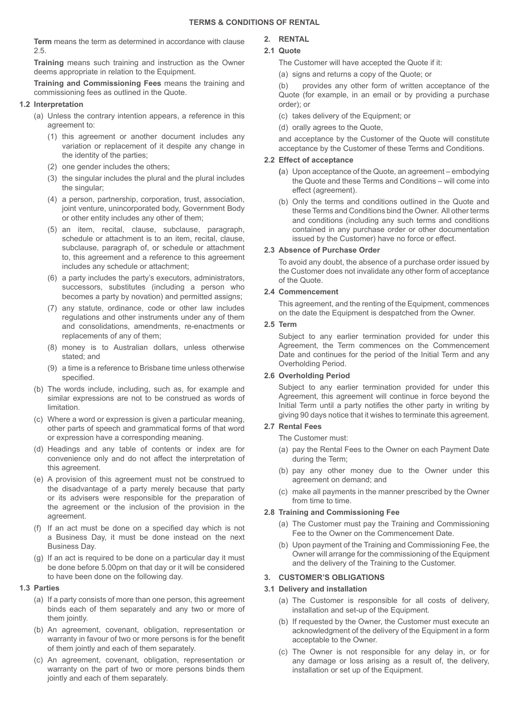**Term** means the term as determined in accordance with clause 2.5.

**Training** means such training and instruction as the Owner deems appropriate in relation to the Equipment.

**Training and Commissioning Fees** means the training and commissioning fees as outlined in the Quote.

#### **1.2 Interpretation**

- (a) Unless the contrary intention appears, a reference in this agreement to:
	- (1) this agreement or another document includes any variation or replacement of it despite any change in the identity of the parties;
	- (2) one gender includes the others;
	- (3) the singular includes the plural and the plural includes the singular;
	- (4) a person, partnership, corporation, trust, association, joint venture, unincorporated body, Government Body or other entity includes any other of them;
	- (5) an item, recital, clause, subclause, paragraph, schedule or attachment is to an item, recital, clause, subclause, paragraph of, or schedule or attachment to, this agreement and a reference to this agreement includes any schedule or attachment;
	- (6) a party includes the party's executors, administrators, successors, substitutes (including a person who becomes a party by novation) and permitted assigns;
	- (7) any statute, ordinance, code or other law includes regulations and other instruments under any of them and consolidations, amendments, re-enactments or replacements of any of them;
	- (8) money is to Australian dollars, unless otherwise stated; and
	- (9) a time is a reference to Brisbane time unless otherwise specified.
- (b) The words include, including, such as, for example and similar expressions are not to be construed as words of limitation.
- (c) Where a word or expression is given a particular meaning, other parts of speech and grammatical forms of that word or expression have a corresponding meaning.
- (d) Headings and any table of contents or index are for convenience only and do not affect the interpretation of this agreement.
- (e) A provision of this agreement must not be construed to the disadvantage of a party merely because that party or its advisers were responsible for the preparation of the agreement or the inclusion of the provision in the agreement.
- (f) If an act must be done on a specified day which is not a Business Day, it must be done instead on the next Business Day.
- (g) If an act is required to be done on a particular day it must be done before 5.00pm on that day or it will be considered to have been done on the following day.

#### **1.3 Parties**

- (a) If a party consists of more than one person, this agreement binds each of them separately and any two or more of them jointly.
- (b) An agreement, covenant, obligation, representation or warranty in favour of two or more persons is for the benefit of them jointly and each of them separately.
- (c) An agreement, covenant, obligation, representation or warranty on the part of two or more persons binds them jointly and each of them separately.

# **2. RENTAL**

# **2.1 Quote**

The Customer will have accepted the Quote if it:

(a) signs and returns a copy of the Quote; or

provides any other form of written acceptance of the Quote (for example, in an email or by providing a purchase order); or

- (c) takes delivery of the Equipment; or
- (d) orally agrees to the Quote,

and acceptance by the Customer of the Quote will constitute acceptance by the Customer of these Terms and Conditions.

#### **2.2 Effect of acceptance**

- **(**a) Upon acceptance of the Quote, an agreement embodying the Quote and these Terms and Conditions – will come into effect (agreement).
- (b) Only the terms and conditions outlined in the Quote and these Terms and Conditions bind the Owner. All other terms and conditions (including any such terms and conditions contained in any purchase order or other documentation issued by the Customer) have no force or effect.

#### **2.3 Absence of Purchase Order**

To avoid any doubt, the absence of a purchase order issued by the Customer does not invalidate any other form of acceptance of the Quote.

#### **2.4 Commencement**

This agreement, and the renting of the Equipment, commences on the date the Equipment is despatched from the Owner.

#### **2.5 Term**

Subject to any earlier termination provided for under this Agreement, the Term commences on the Commencement Date and continues for the period of the Initial Term and any Overholding Period.

#### **2.6 Overholding Period**

Subject to any earlier termination provided for under this Agreement, this agreement will continue in force beyond the Initial Term until a party notifies the other party in writing by giving 90 days notice that it wishes to terminate this agreement.

#### **2.7 Rental Fees**

The Customer must:

- (a) pay the Rental Fees to the Owner on each Payment Date during the Term;
- (b) pay any other money due to the Owner under this agreement on demand; and
- (c) make all payments in the manner prescribed by the Owner from time to time.

## **2.8 Training and Commissioning Fee**

- (a) The Customer must pay the Training and Commissioning Fee to the Owner on the Commencement Date.
- (b) Upon payment of the Training and Commissioning Fee, the Owner will arrange for the commissioning of the Equipment and the delivery of the Training to the Customer.

#### **3. CUSTOMER'S OBLIGATIONS**

#### **3.1 Delivery and installation**

- (a) The Customer is responsible for all costs of delivery, installation and set-up of the Equipment.
- (b) If requested by the Owner, the Customer must execute an acknowledgment of the delivery of the Equipment in a form acceptable to the Owner.
- (c) The Owner is not responsible for any delay in, or for any damage or loss arising as a result of, the delivery, installation or set up of the Equipment.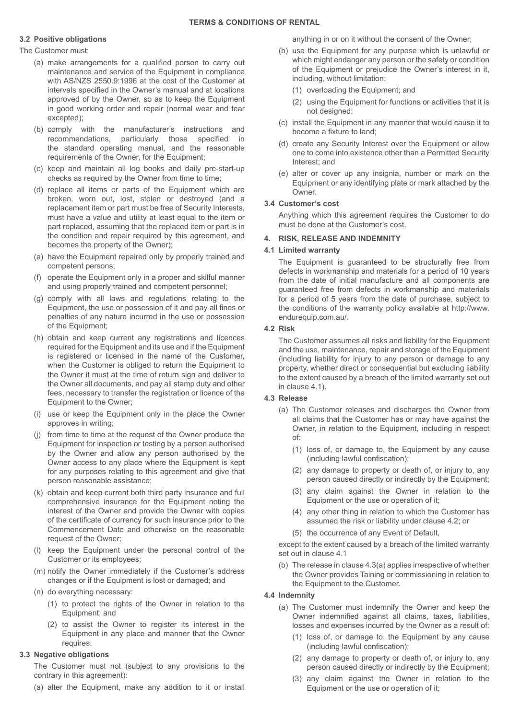## **3.2 Positive obligations**

The Customer must:

- (a) make arrangements for a qualified person to carry out maintenance and service of the Equipment in compliance with AS/NZS 2550.9:1996 at the cost of the Customer at intervals specified in the Owner's manual and at locations approved of by the Owner, so as to keep the Equipment in good working order and repair (normal wear and tear excepted);
- (b) comply with the manufacturer's instructions and recommendations, particularly those specified in the standard operating manual, and the reasonable requirements of the Owner, for the Equipment;
- (c) keep and maintain all log books and daily pre-start-up checks as required by the Owner from time to time;
- (d) replace all items or parts of the Equipment which are broken, worn out, lost, stolen or destroyed (and a replacement item or part must be free of Security Interests, must have a value and utility at least equal to the item or part replaced, assuming that the replaced item or part is in the condition and repair required by this agreement, and becomes the property of the Owner);
- (a) have the Equipment repaired only by properly trained and competent persons;
- (f) operate the Equipment only in a proper and skilful manner and using properly trained and competent personnel;
- (g) comply with all laws and regulations relating to the Equipment, the use or possession of it and pay all fines or penalties of any nature incurred in the use or possession of the Equipment;
- (h) obtain and keep current any registrations and licences required for the Equipment and its use and if the Equipment is registered or licensed in the name of the Customer, when the Customer is obliged to return the Equipment to the Owner it must at the time of return sign and deliver to the Owner all documents, and pay all stamp duty and other fees, necessary to transfer the registration or licence of the Equipment to the Owner;
- (i) use or keep the Equipment only in the place the Owner approves in writing;
- (j) from time to time at the request of the Owner produce the Equipment for inspection or testing by a person authorised by the Owner and allow any person authorised by the Owner access to any place where the Equipment is kept for any purposes relating to this agreement and give that person reasonable assistance;
- (k) obtain and keep current both third party insurance and full comprehensive insurance for the Equipment noting the interest of the Owner and provide the Owner with copies of the certificate of currency for such insurance prior to the Commencement Date and otherwise on the reasonable request of the Owner;
- (l) keep the Equipment under the personal control of the Customer or its employees;
- (m) notify the Owner immediately if the Customer's address changes or if the Equipment is lost or damaged; and
- (n) do everything necessary:
	- (1) to protect the rights of the Owner in relation to the Equipment; and
	- (2) to assist the Owner to register its interest in the Equipment in any place and manner that the Owner requires.

## **3.3 Negative obligations**

The Customer must not (subject to any provisions to the contrary in this agreement):

(a) alter the Equipment, make any addition to it or install

anything in or on it without the consent of the Owner;

- (b) use the Equipment for any purpose which is unlawful or which might endanger any person or the safety or condition of the Equipment or prejudice the Owner's interest in it, including, without limitation:
	- (1) overloading the Equipment; and
	- (2) using the Equipment for functions or activities that it is not designed;
- (c) install the Equipment in any manner that would cause it to become a fixture to land;
- (d) create any Security Interest over the Equipment or allow one to come into existence other than a Permitted Security Interest; and
- (e) alter or cover up any insignia, number or mark on the Equipment or any identifying plate or mark attached by the Owner.

#### **3.4 Customer's cost**

Anything which this agreement requires the Customer to do must be done at the Customer's cost.

# **4. RISK, RELEASE AND INDEMNITY**

#### **4.1 Limited warranty**

The Equipment is guaranteed to be structurally free from defects in workmanship and materials for a period of 10 years from the date of initial manufacture and all components are guaranteed free from defects in workmanship and materials for a period of 5 years from the date of purchase, subject to the conditions of the warranty policy available at http://www. endurequip.com.au/.

#### **4.2 Risk**

The Customer assumes all risks and liability for the Equipment and the use, maintenance, repair and storage of the Equipment (including liability for injury to any person or damage to any property, whether direct or consequential but excluding liability to the extent caused by a breach of the limited warranty set out in clause 4.1).

#### **4.3 Release**

- (a) The Customer releases and discharges the Owner from all claims that the Customer has or may have against the Owner, in relation to the Equipment, including in respect of:
	- (1) loss of, or damage to, the Equipment by any cause (including lawful confiscation);
	- (2) any damage to property or death of, or injury to, any person caused directly or indirectly by the Equipment;
	- (3) any claim against the Owner in relation to the Equipment or the use or operation of it;
	- (4) any other thing in relation to which the Customer has assumed the risk or liability under clause 4.2; or
	- (5) the occurrence of any Event of Default,

except to the extent caused by a breach of the limited warranty set out in clause 4.1

(b) The release in clause 4.3(a) applies irrespective of whether the Owner provides Taining or commissioning in relation to the Equipment to the Customer.

#### **4.4 Indemnity**

- (a) The Customer must indemnify the Owner and keep the Owner indemnified against all claims, taxes, liabilities, losses and expenses incurred by the Owner as a result of:
	- (1) loss of, or damage to, the Equipment by any cause (including lawful confiscation);
	- (2) any damage to property or death of, or injury to, any person caused directly or indirectly by the Equipment;
	- (3) any claim against the Owner in relation to the Equipment or the use or operation of it;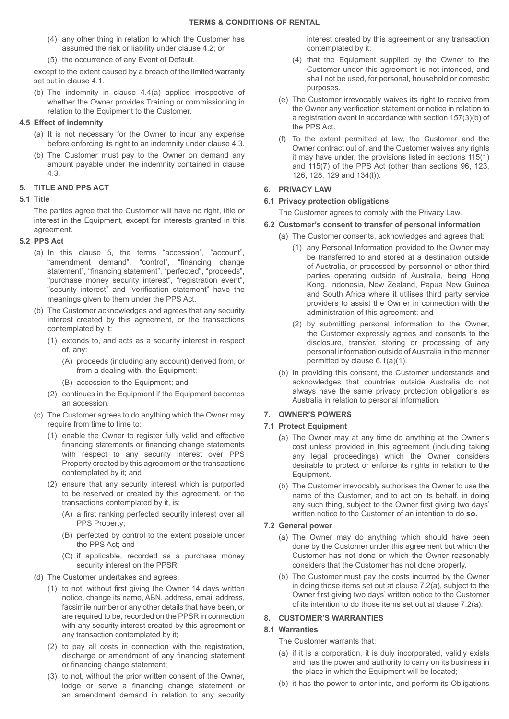- (4) any other thing in relation to which the Customer has assumed the risk or liability under clause 4.2; or
- (5) the occurrence of any Event of Default,

except to the extent caused by a breach of the limited warranty set out in clause 4.1.

(b) The indemnity in clause 4.4(a) applies irrespective of whether the Owner provides Training or commissioning in relation to the Equipment to the Customer.

## **4.5 Effect of indemnity**

- (a) It is not necessary for the Owner to incur any expense before enforcing its right to an indemnity under clause 4.3.
- (b) The Customer must pay to the Owner on demand any amount payable under the indemnity contained in clause 4.3.

# **5. TITLE AND PPS ACT**

## **5.1 Title**

The parties agree that the Customer will have no right, title or interest in the Equipment, except for interests granted in this agreement.

## **5.2 PPS Act**

- (a) In this clause 5, the terms "accession", "account", "amendment demand", "control", "financing change statement", "financing statement", "perfected", "proceeds", "purchase money security interest", "registration event", "security interest" and "verification statement" have the meanings given to them under the PPS Act.
- (b) The Customer acknowledges and agrees that any security interest created by this agreement, or the transactions contemplated by it:
	- (1) extends to, and acts as a security interest in respect of, any:
		- (A) proceeds (including any account) derived from, or from a dealing with, the Equipment;
		- (B) accession to the Equipment; and
	- (2) continues in the Equipment if the Equipment becomes an accession.
- (c) The Customer agrees to do anything which the Owner may require from time to time to:
	- (1) enable the Owner to register fully valid and effective financing statements or financing change statements with respect to any security interest over PPS Property created by this agreement or the transactions contemplated by it; and
	- (2) ensure that any security interest which is purported to be reserved or created by this agreement, or the transactions contemplated by it, is:
		- (A) a first ranking perfected security interest over all PPS Property;
		- (B) perfected by control to the extent possible under the PPS Act; and
		- (C) if applicable, recorded as a purchase money security interest on the PPSR.
- (d) The Customer undertakes and agrees:
	- (1) to not, without first giving the Owner 14 days written notice, change its name, ABN, address, email address, facsimile number or any other details that have been, or are required to be, recorded on the PPSR in connection with any security interest created by this agreement or any transaction contemplated by it;
	- (2) to pay all costs in connection with the registration, discharge or amendment of any financing statement or financing change statement;
	- (3) to not, without the prior written consent of the Owner, lodge or serve a financing change statement or an amendment demand in relation to any security

interest created by this agreement or any transaction contemplated by it;

- (4) that the Equipment supplied by the Owner to the Customer under this agreement is not intended, and shall not be used, for personal, household or domestic purposes.
- (e) The Customer irrevocably waives its right to receive from the Owner any verification statement or notice in relation to a registration event in accordance with section 157(3)(b) of the PPS Act.
- (f) To the extent permitted at law, the Customer and the Owner contract out of, and the Customer waives any rights it may have under, the provisions listed in sections 115(1) and 115(7) of the PPS Act (other than sections 96, 123, 126, 128, 129 and 134(l)).

# **6. PRIVACY LAW**

## **6.1 Privacy protection obligations**

The Customer agrees to comply with the Privacy Law.

# **6.2 Customer's consent to transfer of personal information**

- **(**a) The Customer consents, acknowledges and agrees that:
	- (1) any Personal Information provided to the Owner may be transferred to and stored at a destination outside of Australia, or processed by personnel or other third parties operating outside of Australia, being Hong Kong, Indonesia, New Zealand, Papua New Guinea and South Africa where it utilises third party service providers to assist the Owner in connection with the administration of this agreement; and
	- (2) by submitting personal information to the Owner, the Customer expressly agrees and consents to the disclosure, transfer, storing or processing of any personal information outside of Australia in the manner permitted by clause 6.1(a)(1).
- (b) In providing this consent, the Customer understands and acknowledges that countries outside Australia do not always have the same privacy protection obligations as Australia in relation to personal information.

# **7. OWNER'S POWERS**

## **7.1 Protect Equipment**

- **(**a) The Owner may at any time do anything at the Owner's cost unless provided in this agreement (including taking any legal proceedings) which the Owner considers desirable to protect or enforce its rights in relation to the Equipment.
- (b) The Customer irrevocably authorises the Owner to use the name of the Customer, and to act on its behalf, in doing any such thing, subject to the Owner first giving two days' written notice to the Customer of an intention to do **so.**

## **7.2 General power**

- (a) The Owner may do anything which should have been done by the Customer under this agreement but which the Customer has not done or which the Owner reasonably considers that the Customer has not done properly.
- (b) The Customer must pay the costs incurred by the Owner in doing those items set out at clause 7.2(a), subject to the Owner first giving two days' written notice to the Customer of its intention to do those items set out at clause 7.2(a).

## **8. CUSTOMER'S WARRANTIES**

# **8.1 Warranties**

The Customer warrants that:

- (a) if it is a corporation, it is duly incorporated, validly exists and has the power and authority to carry on its business in the place in which the Equipment will be located;
- (b) it has the power to enter into, and perform its Obligations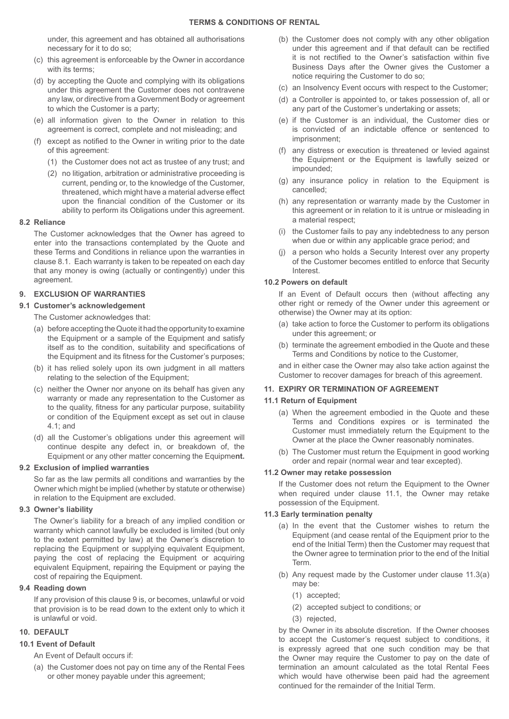under, this agreement and has obtained all authorisations necessary for it to do so;

- (c) this agreement is enforceable by the Owner in accordance with its terms:
- (d) by accepting the Quote and complying with its obligations under this agreement the Customer does not contravene any law, or directive from a Government Body or agreement to which the Customer is a party;
- (e) all information given to the Owner in relation to this agreement is correct, complete and not misleading; and
- (f) except as notified to the Owner in writing prior to the date of this agreement:
	- (1) the Customer does not act as trustee of any trust; and
	- (2) no litigation, arbitration or administrative proceeding is current, pending or, to the knowledge of the Customer, threatened, which might have a material adverse effect upon the financial condition of the Customer or its ability to perform its Obligations under this agreement.

#### **8.2 Reliance**

The Customer acknowledges that the Owner has agreed to enter into the transactions contemplated by the Quote and these Terms and Conditions in reliance upon the warranties in clause 8.1. Each warranty is taken to be repeated on each day that any money is owing (actually or contingently) under this agreement.

## **9. EXCLUSION OF WARRANTIES**

#### **9.1 Customer's acknowledgement**

The Customer acknowledges that:

- (a) before accepting the Quote it had the opportunity to examine the Equipment or a sample of the Equipment and satisfy itself as to the condition, suitability and specifications of the Equipment and its fitness for the Customer's purposes;
- (b) it has relied solely upon its own judgment in all matters relating to the selection of the Equipment;
- (c) neither the Owner nor anyone on its behalf has given any warranty or made any representation to the Customer as to the quality, fitness for any particular purpose, suitability or condition of the Equipment except as set out in clause 4.1; and
- (d) all the Customer's obligations under this agreement will continue despite any defect in, or breakdown of, the Equipment or any other matter concerning the Equipme**nt.**

#### **9.2 Exclusion of implied warranties**

So far as the law permits all conditions and warranties by the Owner which might be implied (whether by statute or otherwise) in relation to the Equipment are excluded.

#### **9.3 Owner's liability**

The Owner's liability for a breach of any implied condition or warranty which cannot lawfully be excluded is limited (but only to the extent permitted by law) at the Owner's discretion to replacing the Equipment or supplying equivalent Equipment, paying the cost of replacing the Equipment or acquiring equivalent Equipment, repairing the Equipment or paying the cost of repairing the Equipment.

#### **9.4 Reading down**

If any provision of this clause 9 is, or becomes, unlawful or void that provision is to be read down to the extent only to which it is unlawful or void.

## **10. DEFAULT**

## **10.1 Event of Default**

An Event of Default occurs if:

(a) the Customer does not pay on time any of the Rental Fees or other money payable under this agreement;

- (b) the Customer does not comply with any other obligation under this agreement and if that default can be rectified it is not rectified to the Owner's satisfaction within five Business Days after the Owner gives the Customer a notice requiring the Customer to do so;
- (c) an Insolvency Event occurs with respect to the Customer;
- (d) a Controller is appointed to, or takes possession of, all or any part of the Customer's undertaking or assets;
- (e) if the Customer is an individual, the Customer dies or is convicted of an indictable offence or sentenced to imprisonment;
- (f) any distress or execution is threatened or levied against the Equipment or the Equipment is lawfully seized or impounded;
- (g) any insurance policy in relation to the Equipment is cancelled;
- (h) any representation or warranty made by the Customer in this agreement or in relation to it is untrue or misleading in a material respect;
- (i) the Customer fails to pay any indebtedness to any person when due or within any applicable grace period; and
- (j) a person who holds a Security Interest over any property of the Customer becomes entitled to enforce that Security Interest.

## **10.2 Powers on default**

If an Event of Default occurs then (without affecting any other right or remedy of the Owner under this agreement or otherwise) the Owner may at its option:

- (a) take action to force the Customer to perform its obligations under this agreement; or
- (b) terminate the agreement embodied in the Quote and these Terms and Conditions by notice to the Customer,

and in either case the Owner may also take action against the Customer to recover damages for breach of this agreement.

## **11. EXPIRY OR TERMINATION OF AGREEMENT**

## **11.1 Return of Equipment**

- (a) When the agreement embodied in the Quote and these Terms and Conditions expires or is terminated the Customer must immediately return the Equipment to the Owner at the place the Owner reasonably nominates.
- (b) The Customer must return the Equipment in good working order and repair (normal wear and tear excepted).

#### **11.2 Owner may retake possession**

If the Customer does not return the Equipment to the Owner when required under clause 11.1, the Owner may retake possession of the Equipment.

## **11.3 Early termination penalty**

- (a) In the event that the Customer wishes to return the Equipment (and cease rental of the Equipment prior to the end of the Initial Term) then the Customer may request that the Owner agree to termination prior to the end of the Initial Term.
- (b) Any request made by the Customer under clause 11.3(a) may be:
	- (1) accepted;
	- (2) accepted subject to conditions; or
	- (3) rejected,

by the Owner in its absolute discretion. If the Owner chooses to accept the Customer's request subject to conditions, it is expressly agreed that one such condition may be that the Owner may require the Customer to pay on the date of termination an amount calculated as the total Rental Fees which would have otherwise been paid had the agreement continued for the remainder of the Initial Term.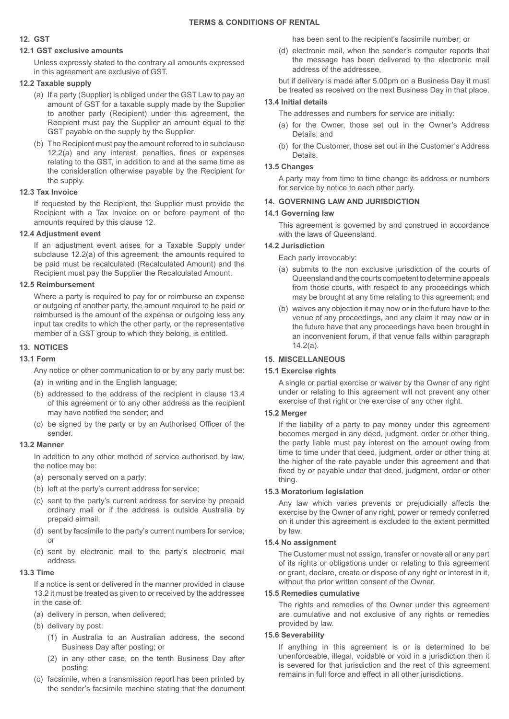## **12. GST**

# **12.1 GST exclusive amounts**

Unless expressly stated to the contrary all amounts expressed in this agreement are exclusive of GST.

## **12.2 Taxable supply**

- (a) If a party (Supplier) is obliged under the GST Law to pay an amount of GST for a taxable supply made by the Supplier to another party (Recipient) under this agreement, the Recipient must pay the Supplier an amount equal to the GST payable on the supply by the Supplier.
- (b) The Recipient must pay the amount referred to in subclause 12.2(a) and any interest, penalties, fines or expenses relating to the GST, in addition to and at the same time as the consideration otherwise payable by the Recipient for the supply.

## **12.3 Tax Invoice**

If requested by the Recipient, the Supplier must provide the Recipient with a Tax Invoice on or before payment of the amounts required by this clause 12.

# **12.4 Adjustment event**

If an adjustment event arises for a Taxable Supply under subclause 12.2(a) of this agreement, the amounts required to be paid must be recalculated (Recalculated Amount) and the Recipient must pay the Supplier the Recalculated Amount.

# **12.5 Reimbursement**

Where a party is required to pay for or reimburse an expense or outgoing of another party, the amount required to be paid or reimbursed is the amount of the expense or outgoing less any input tax credits to which the other party, or the representative member of a GST group to which they belong, is entitled.

# **13. NOTICES**

## **13.1 Form**

Any notice or other communication to or by any party must be:

- **(**a) in writing and in the English language;
- (b) addressed to the address of the recipient in clause 13.4 of this agreement or to any other address as the recipient may have notified the sender; and
- (c) be signed by the party or by an Authorised Officer of the sender.

## **13.2 Manner**

In addition to any other method of service authorised by law, the notice may be:

- (a) personally served on a party;
- (b) left at the party's current address for service;
- (c) sent to the party's current address for service by prepaid ordinary mail or if the address is outside Australia by prepaid airmail;
- (d) sent by facsimile to the party's current numbers for service; or
- (e) sent by electronic mail to the party's electronic mail address.

## **13.3 Time**

If a notice is sent or delivered in the manner provided in clause 13.2 it must be treated as given to or received by the addressee in the case of:

- (a) delivery in person, when delivered;
- (b) delivery by post:
	- (1) in Australia to an Australian address, the second Business Day after posting; or
	- (2) in any other case, on the tenth Business Day after posting;
- (c) facsimile, when a transmission report has been printed by the sender's facsimile machine stating that the document

has been sent to the recipient's facsimile number; or

(d) electronic mail, when the sender's computer reports that the message has been delivered to the electronic mail address of the addressee,

but if delivery is made after 5.00pm on a Business Day it must be treated as received on the next Business Day in that place.

# **13.4 Initial details**

The addresses and numbers for service are initially:

- (a) for the Owner, those set out in the Owner's Address Details; and
- (b) for the Customer, those set out in the Customer's Address Details.

## **13.5 Changes**

A party may from time to time change its address or numbers for service by notice to each other party.

## **14. GOVERNING LAW AND JURISDICTION**

## **14.1 Governing law**

This agreement is governed by and construed in accordance with the laws of Queensland.

## **14.2 Jurisdiction**

Each party irrevocably:

- (a) submits to the non exclusive jurisdiction of the courts of Queensland and the courts competent to determine appeals from those courts, with respect to any proceedings which may be brought at any time relating to this agreement; and
- (b) waives any objection it may now or in the future have to the venue of any proceedings, and any claim it may now or in the future have that any proceedings have been brought in an inconvenient forum, if that venue falls within paragraph 14.2(a).

# **15. MISCELLANEOUS**

# **15.1 Exercise rights**

A single or partial exercise or waiver by the Owner of any right under or relating to this agreement will not prevent any other exercise of that right or the exercise of any other right.

## **15.2 Merger**

If the liability of a party to pay money under this agreement becomes merged in any deed, judgment, order or other thing, the party liable must pay interest on the amount owing from time to time under that deed, judgment, order or other thing at the higher of the rate payable under this agreement and that fixed by or payable under that deed, judgment, order or other thing.

## **15.3 Moratorium legislation**

Any law which varies prevents or prejudicially affects the exercise by the Owner of any right, power or remedy conferred on it under this agreement is excluded to the extent permitted by law.

## **15.4 No assignment**

The Customer must not assign, transfer or novate all or any part of its rights or obligations under or relating to this agreement or grant, declare, create or dispose of any right or interest in it, without the prior written consent of the Owner.

## **15.5 Remedies cumulative**

The rights and remedies of the Owner under this agreement are cumulative and not exclusive of any rights or remedies provided by law.

## **15.6 Severability**

If anything in this agreement is or is determined to be unenforceable, illegal, voidable or void in a jurisdiction then it is severed for that jurisdiction and the rest of this agreement remains in full force and effect in all other jurisdictions.